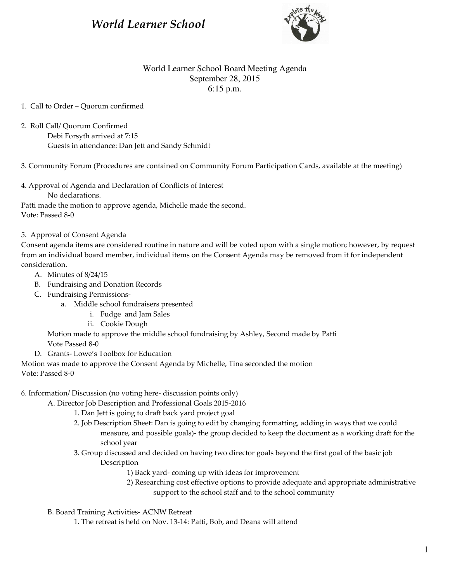# World Learner School



# World Learner School Board Meeting Agenda September 28, 2015 6:15 p.m.

### 1. Call to Order – Quorum confirmed

- 2. Roll Call/ Quorum Confirmed
	- Debi Forsyth arrived at 7:15 Guests in attendance: Dan Jett and Sandy Schmidt

3. Community Forum (Procedures are contained on Community Forum Participation Cards, available at the meeting)

4. Approval of Agenda and Declaration of Conflicts of Interest No declarations.

Patti made the motion to approve agenda, Michelle made the second. Vote: Passed 8-0

5. Approval of Consent Agenda

Consent agenda items are considered routine in nature and will be voted upon with a single motion; however, by request from an individual board member, individual items on the Consent Agenda may be removed from it for independent consideration.

- A. Minutes of 8/24/15
- B. Fundraising and Donation Records
- C. Fundraising Permissions
	- a. Middle school fundraisers presented
		- i. Fudge and Jam Sales
		- ii. Cookie Dough

 Motion made to approve the middle school fundraising by Ashley, Second made by Patti Vote Passed 8-0

D. Grants- Lowe's Toolbox for Education

Motion was made to approve the Consent Agenda by Michelle, Tina seconded the motion Vote: Passed 8-0

- 6. Information/ Discussion (no voting here- discussion points only)
	- A. Director Job Description and Professional Goals 2015-2016
		- 1. Dan Jett is going to draft back yard project goal
		- 2. Job Description Sheet: Dan is going to edit by changing formatting, adding in ways that we could measure, and possible goals)- the group decided to keep the document as a working draft for the school year
		- 3. Group discussed and decided on having two director goals beyond the first goal of the basic job Description
			- 1) Back yard- coming up with ideas for improvement
			- 2) Researching cost effective options to provide adequate and appropriate administrative support to the school staff and to the school community
	- B. Board Training Activities- ACNW Retreat

1. The retreat is held on Nov. 13-14: Patti, Bob, and Deana will attend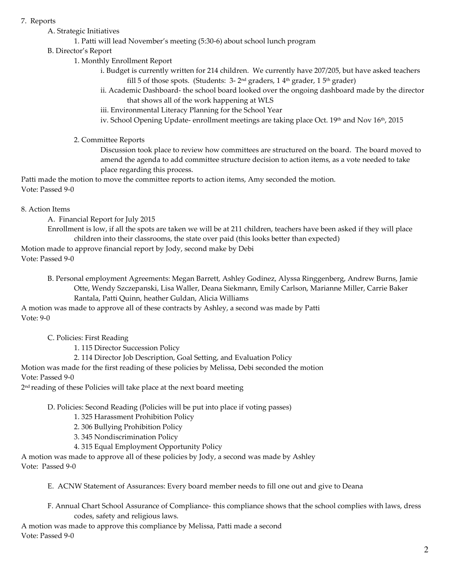### 7. Reports

- A. Strategic Initiatives
	- 1. Patti will lead November's meeting (5:30-6) about school lunch program
- B. Director's Report
	- 1. Monthly Enrollment Report
		- i. Budget is currently written for 214 children. We currently have 207/205, but have asked teachers fill 5 of those spots. (Students:  $3-2^{nd}$  graders, 1  $4^{th}$  grader, 1  $5^{th}$  grader)
		- ii. Academic Dashboard- the school board looked over the ongoing dashboard made by the director that shows all of the work happening at WLS
		- iii. Environmental Literacy Planning for the School Year
		- iv. School Opening Update- enrollment meetings are taking place Oct. 19th and Nov 16th, 2015
	- 2. Committee Reports

 Discussion took place to review how committees are structured on the board. The board moved to amend the agenda to add committee structure decision to action items, as a vote needed to take place regarding this process.

Patti made the motion to move the committee reports to action items, Amy seconded the motion. Vote: Passed 9-0

# 8. Action Items

A. Financial Report for July 2015

 Enrollment is low, if all the spots are taken we will be at 211 children, teachers have been asked if they will place children into their classrooms, the state over paid (this looks better than expected)

Motion made to approve financial report by Jody, second make by Debi Vote: Passed 9-0

> B. Personal employment Agreements: Megan Barrett, Ashley Godinez, Alyssa Ringgenberg, Andrew Burns, Jamie Otte, Wendy Szczepanski, Lisa Waller, Deana Siekmann, Emily Carlson, Marianne Miller, Carrie Baker Rantala, Patti Quinn, heather Guldan, Alicia Williams

A motion was made to approve all of these contracts by Ashley, a second was made by Patti Vote: 9-0

C. Policies: First Reading

1. 115 Director Succession Policy

2. 114 Director Job Description, Goal Setting, and Evaluation Policy

Motion was made for the first reading of these policies by Melissa, Debi seconded the motion Vote: Passed 9-0

2 nd reading of these Policies will take place at the next board meeting

D. Policies: Second Reading (Policies will be put into place if voting passes)

1. 325 Harassment Prohibition Policy

- 2. 306 Bullying Prohibition Policy
- 3. 345 Nondiscrimination Policy
- 4. 315 Equal Employment Opportunity Policy

A motion was made to approve all of these policies by Jody, a second was made by Ashley Vote: Passed 9-0

E. ACNW Statement of Assurances: Every board member needs to fill one out and give to Deana

F. Annual Chart School Assurance of Compliance- this compliance shows that the school complies with laws, dress codes, safety and religious laws.

A motion was made to approve this compliance by Melissa, Patti made a second Vote: Passed 9-0